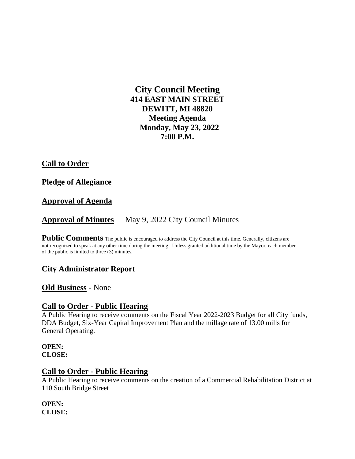# **City Council Meeting 414 EAST MAIN STREET DEWITT, MI 48820 Meeting Agenda Monday, May 23, 2022 7:00 P.M.**

# **Call to Order**

### **Pledge of Allegiance**

## **Approval of Agenda**

# **Approval of Minutes** May 9, 2022 City Council Minutes

**Public Comments** The public is encouraged to address the City Council at this time. Generally, citizens are not recognized to speak at any other time during the meeting. Unless granted additional time by the Mayor, each member of the public is limited to three (3) minutes.

## **City Administrator Report**

## **Old Business** - None

#### **Call to Order - Public Hearing**

A Public Hearing to receive comments on the Fiscal Year 2022-2023 Budget for all City funds, DDA Budget, Six-Year Capital Improvement Plan and the millage rate of 13.00 mills for General Operating.

#### **OPEN: CLOSE:**

#### **Call to Order - Public Hearing**

A Public Hearing to receive comments on the creation of a Commercial Rehabilitation District at 110 South Bridge Street

#### **OPEN: CLOSE:**